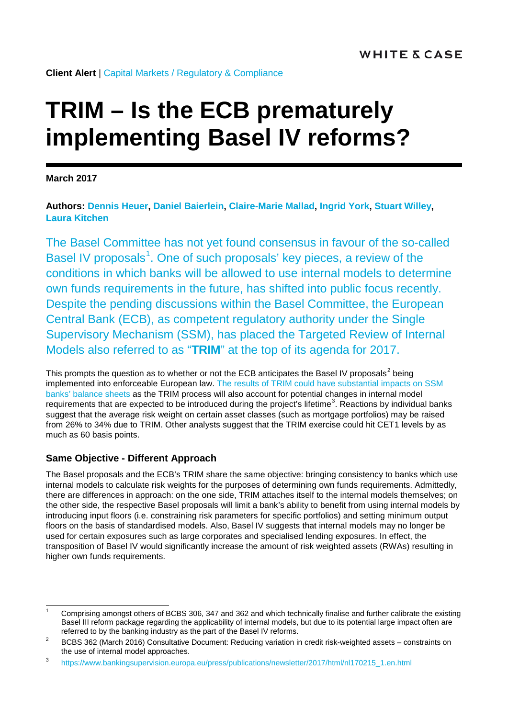**Client Alert** | [Capital Markets](https://www.whitecase.com/law/practices/capital-markets) / [Regulatory & Compliance](https://www.whitecase.com/law/practices/regulatory-compliance)

# **TRIM – Is the ECB prematurely implementing Basel IV reforms?**

**March 2017**

**Authors: [Dennis Heuer,](https://www.whitecase.com/people/dennis-heuer) [Daniel Baierlein,](https://www.whitecase.com/people/daniel-baierlein) [Claire-Marie Mallad,](https://www.whitecase.com/people/claire-marie-mallad) [Ingrid York,](https://www.whitecase.com/people/ingrid-york) [Stuart Willey,](https://www.whitecase.com/people/stuart-willey) [Laura Kitchen](https://www.whitecase.com/people/laura-kitchen)** 

The Basel Committee has not yet found consensus in favour of the so-called Basel IV proposals<sup>[1](#page-0-0)</sup>. One of such proposals' key pieces, a review of the conditions in which banks will be allowed to use internal models to determine own funds requirements in the future, has shifted into public focus recently. Despite the pending discussions within the Basel Committee, the European Central Bank (ECB), as competent regulatory authority under the Single Supervisory Mechanism (SSM), has placed the Targeted Review of Internal Models also referred to as "**TRIM**" at the top of its agenda for 2017.

This prompts the question as to whether or not the ECB anticipates the Basel IV proposals<sup>[2](#page-0-1)</sup> being implemented into enforceable European law. [The results of TRIM could have substantial impacts on SSM](https://www.bankingsupervision.europa.eu/press/publications/newsletter/2017/html/nl170215_1.en.html)  [banks' balance sheets](https://www.bankingsupervision.europa.eu/press/publications/newsletter/2017/html/nl170215_1.en.html) as the TRIM process will also account for potential changes in internal model requirements that are expected to be introduced during the project's lifetime<sup>[3](#page-0-2)</sup>. Reactions by individual banks suggest that the average risk weight on certain asset classes (such as mortgage portfolios) may be raised from 26% to 34% due to TRIM. Other analysts suggest that the TRIM exercise could hit CET1 levels by as much as 60 basis points.

# **Same Objective - Different Approach**

The Basel proposals and the ECB's TRIM share the same objective: bringing consistency to banks which use internal models to calculate risk weights for the purposes of determining own funds requirements. Admittedly, there are differences in approach: on the one side, TRIM attaches itself to the internal models themselves; on the other side, the respective Basel proposals will limit a bank's ability to benefit from using internal models by introducing input floors (i.e. constraining risk parameters for specific portfolios) and setting minimum output floors on the basis of standardised models. Also, Basel IV suggests that internal models may no longer be used for certain exposures such as large corporates and specialised lending exposures. In effect, the transposition of Basel IV would significantly increase the amount of risk weighted assets (RWAs) resulting in higher own funds requirements.

<span id="page-0-0"></span> <sup>1</sup> Comprising amongst others of BCBS 306, 347 and 362 and which technically finalise and further calibrate the existing Basel III reform package regarding the applicability of internal models, but due to its potential large impact often are referred to by the banking industry as the part of the Basel IV reforms.

<span id="page-0-1"></span><sup>&</sup>lt;sup>2</sup> BCBS 362 (March 2016) Consultative Document: Reducing variation in credit risk-weighted assets – constraints on the use of internal model approaches.

<span id="page-0-2"></span><sup>3</sup> [https://www.bankingsupervision.europa.eu/press/publications/newsletter/2017/html/nl170215\\_1.en.html](https://www.bankingsupervision.europa.eu/press/publications/newsletter/2017/html/nl170215_1.en.html)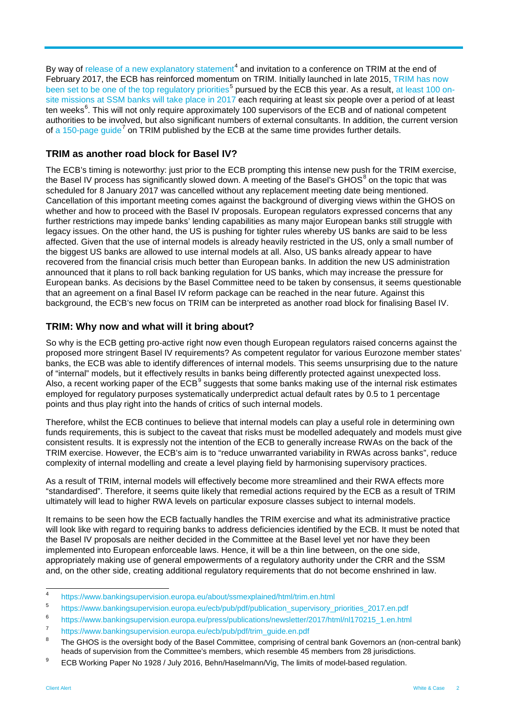By way of [release of a new explanatory statement](https://www.bankingsupervision.europa.eu/about/ssmexplained/html/trim.en.html)<sup>[4](#page-1-0)</sup> and invitation to a conference on TRIM at the end of February 2017, the ECB has reinforced momentum on TRIM. Initially launched in late 2015, [TRIM has now](https://www.bankingsupervision.europa.eu/ecb/pub/pdf/publication_supervisory_priorities_2017.en.pdf)  [been set to be one of the top regulatory priorities](https://www.bankingsupervision.europa.eu/ecb/pub/pdf/publication_supervisory_priorities_2017.en.pdf)<sup>[5](#page-1-1)</sup> pursued by the ECB this year. As a result, [at least 100 on](https://www.bankingsupervision.europa.eu/press/publications/newsletter/2017/html/nl170215_1.en.html)[site missions at SSM banks will take place in 2017](https://www.bankingsupervision.europa.eu/press/publications/newsletter/2017/html/nl170215_1.en.html) each requiring at least six people over a period of at least ten weeks<sup>[6](#page-1-2)</sup>. This will not only require approximately 100 supervisors of the ECB and of national competent authorities to be involved, but also significant numbers of external consultants. In addition, the current version of [a 150-page guide](https://www.bankingsupervision.europa.eu/ecb/pub/pdf/trim_guide.en.pdf)<sup>[7](#page-1-3)</sup> on TRIM published by the ECB at the same time provides further details.

### **TRIM as another road block for Basel IV?**

The ECB's timing is noteworthy: just prior to the ECB prompting this intense new push for the TRIM exercise, the Basel IV process has significantly slowed down. A meeting of the Basel's GHOS<sup>[8](#page-1-4)</sup> on the topic that was scheduled for 8 January 2017 was cancelled without any replacement meeting date being mentioned. Cancellation of this important meeting comes against the background of diverging views within the GHOS on whether and how to proceed with the Basel IV proposals. European regulators expressed concerns that any further restrictions may impede banks' lending capabilities as many major European banks still struggle with legacy issues. On the other hand, the US is pushing for tighter rules whereby US banks are said to be less affected. Given that the use of internal models is already heavily restricted in the US, only a small number of the biggest US banks are allowed to use internal models at all. Also, US banks already appear to have recovered from the financial crisis much better than European banks. In addition the new US administration announced that it plans to roll back banking regulation for US banks, which may increase the pressure for European banks. As decisions by the Basel Committee need to be taken by consensus, it seems questionable that an agreement on a final Basel IV reform package can be reached in the near future. Against this background, the ECB's new focus on TRIM can be interpreted as another road block for finalising Basel IV.

## **TRIM: Why now and what will it bring about?**

So why is the ECB getting pro-active right now even though European regulators raised concerns against the proposed more stringent Basel IV requirements? As competent regulator for various Eurozone member states' banks, the ECB was able to identify differences of internal models. This seems unsurprising due to the nature of "internal" models, but it effectively results in banks being differently protected against unexpected loss. Also, a recent working paper of the  $ECB<sup>9</sup>$  $ECB<sup>9</sup>$  $ECB<sup>9</sup>$  suggests that some banks making use of the internal risk estimates employed for regulatory purposes systematically underpredict actual default rates by 0.5 to 1 percentage points and thus play right into the hands of critics of such internal models.

Therefore, whilst the ECB continues to believe that internal models can play a useful role in determining own funds requirements, this is subject to the caveat that risks must be modelled adequately and models must give consistent results. It is expressly not the intention of the ECB to generally increase RWAs on the back of the TRIM exercise. However, the ECB's aim is to "reduce unwarranted variability in RWAs across banks", reduce complexity of internal modelling and create a level playing field by harmonising supervisory practices.

As a result of TRIM, internal models will effectively become more streamlined and their RWA effects more "standardised". Therefore, it seems quite likely that remedial actions required by the ECB as a result of TRIM ultimately will lead to higher RWA levels on particular exposure classes subject to internal models.

It remains to be seen how the ECB factually handles the TRIM exercise and what its administrative practice will look like with regard to requiring banks to address deficiencies identified by the ECB. It must be noted that the Basel IV proposals are neither decided in the Committee at the Basel level yet nor have they been implemented into European enforceable laws. Hence, it will be a thin line between, on the one side, appropriately making use of general empowerments of a regulatory authority under the CRR and the SSM and, on the other side, creating additional regulatory requirements that do not become enshrined in law.

<span id="page-1-0"></span> <sup>4</sup> <https://www.bankingsupervision.europa.eu/about/ssmexplained/html/trim.en.html>

<span id="page-1-1"></span><sup>5</sup> [https://www.bankingsupervision.europa.eu/ecb/pub/pdf/publication\\_supervisory\\_priorities\\_2017.en.pdf](https://www.bankingsupervision.europa.eu/ecb/pub/pdf/publication_supervisory_priorities_2017.en.pdf)

<span id="page-1-2"></span><sup>6</sup> [https://www.bankingsupervision.europa.eu/press/publications/newsletter/2017/html/nl170215\\_1.en.html](https://www.bankingsupervision.europa.eu/press/publications/newsletter/2017/html/nl170215_1.en.html)

<span id="page-1-3"></span><sup>7</sup> [https://www.bankingsupervision.europa.eu/ecb/pub/pdf/trim\\_guide.en.pdf](https://www.bankingsupervision.europa.eu/ecb/pub/pdf/trim_guide.en.pdf)<br>8 Tu 21.00:

<span id="page-1-4"></span>The GHOS is the oversight body of the Basel Committee, comprising of central bank Governors an (non-central bank) heads of supervision from the Committee's members, which resemble 45 members from 28 jurisdictions.

<span id="page-1-5"></span><sup>&</sup>lt;sup>9</sup> ECB Working Paper No 1928 / July 2016, Behn/Haselmann/Vig, The limits of model-based regulation.